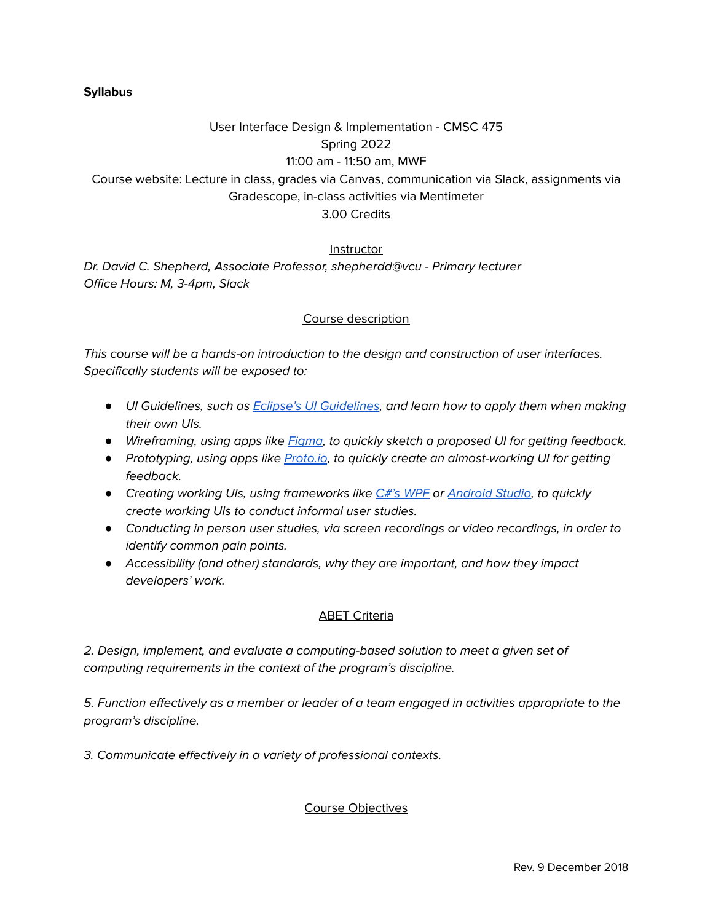#### **Syllabus**

# User Interface Design & Implementation - CMSC 475 Spring 2022 11:00 am - 11:50 am, MWF Course website: Lecture in class, grades via Canvas, communication via Slack, assignments via Gradescope, in-class activities via Mentimeter 3.00 Credits

#### **Instructor**

Dr. David C. Shepherd, Associate Professor, shepherdd@vcu - Primary lecturer Office Hours: M, 3-4pm, Slack

#### Course description

This course will be a hands-on introduction to the design and construction of user interfaces. Specifically students will be exposed to:

- *●* UI Guidelines, such as Eclipse's UI [Guidelines](https://wiki.eclipse.org/User_Interface_Guidelines), and learn how to apply them when making their own UIs.
- Wireframing, using apps like *[Figma](https://www.figma.com/ui-design-tool/)*, to quickly sketch a proposed UI for getting feedback.
- Prototyping, using apps like **[Proto.io](https://proto.io/)**, to quickly create an almost-working UI for getting feedback.
- Creating working UIs, using frameworks like C#'s [WPF](https://docs.microsoft.com/en-us/visualstudio/get-started/csharp/tutorial-wpf?view=vs-2019) or [Android](https://developer.android.com/studio) Studio, to quickly create working UIs to conduct informal user studies.
- *●* Conducting in person user studies, via screen recordings or video recordings, in order to identify common pain points.
- *●* Accessibility (and other) standards, why they are important, and how they impact developers' work.

#### ABET Criteria

2. Design, implement, and evaluate a computing-based solution to meet a given set of computing requirements in the context of the program's discipline.

5. Function effectively as a member or leader of a team engaged in activities appropriate to the program's discipline.

3. Communicate effectively in a variety of professional contexts.

Course Objectives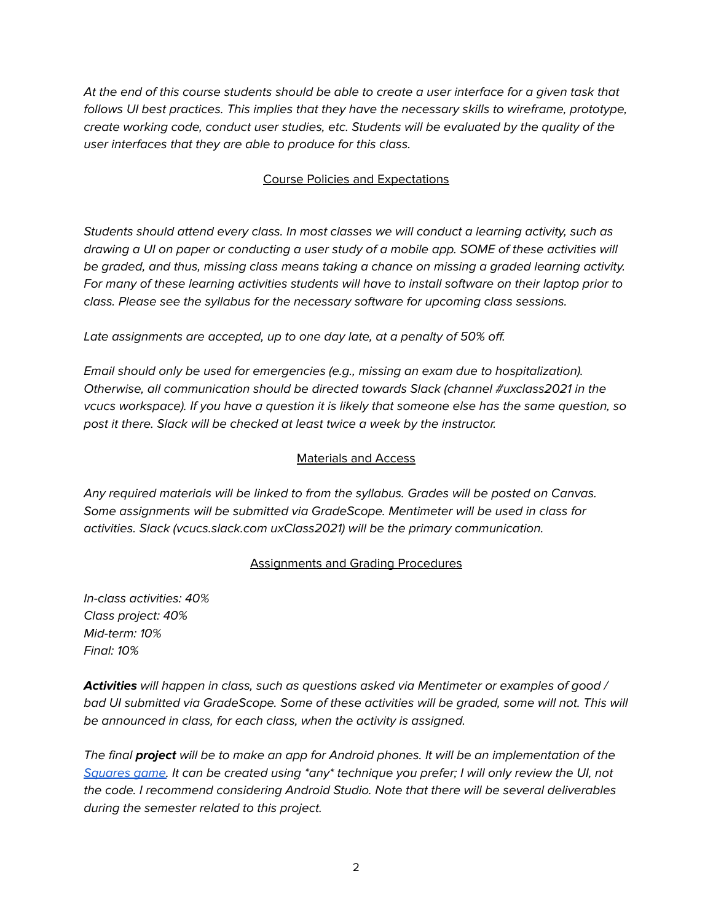At the end of this course students should be able to create a user interface for a given task that follows UI best practices. This implies that they have the necessary skills to wireframe, prototype, create working code, conduct user studies, etc. Students will be evaluated by the quality of the user interfaces that they are able to produce for this class.

## Course Policies and Expectations

Students should attend every class. In most classes we will conduct a learning activity, such as drawing a UI on paper or conducting a user study of a mobile app. SOME of these activities will be graded, and thus, missing class means taking a chance on missing a graded learning activity. For many of these learning activities students will have to install software on their laptop prior to class. Please see the syllabus for the necessary software for upcoming class sessions.

Late assignments are accepted, up to one day late, at a penalty of 50% off.

Email should only be used for emergencies (e.g., missing an exam due to hospitalization). Otherwise, all communication should be directed towards Slack (channel #uxclass2021 in the vcucs workspace). If you have a question it is likely that someone else has the same question, so post it there. Slack will be checked at least twice a week by the instructor.

### Materials and Access

Any required materials will be linked to from the syllabus. Grades will be posted on Canvas. Some assignments will be submitted via GradeScope. Mentimeter will be used in class for activities. Slack (vcucs.slack.com uxClass2021) will be the primary communication.

### Assignments and Grading Procedures

In-class activities: 40% Class project: 40% Mid-term: 10% Final: 10%

**Activities** will happen in class, such as questions asked via Mentimeter or examples of good / bad UI submitted via GradeScope. Some of these activities will be graded, some will not. This will be announced in class, for each class, when the activity is assigned.

The final **project** will be to make an app for Android phones. It will be an implementation of the [Squares](https://www.familyeducation.com/fun/pen-paper-games/squares-game) game. It can be created using \*any\* technique you prefer; I will only review the UI, not the code. I recommend considering Android Studio. Note that there will be several deliverables during the semester related to this project.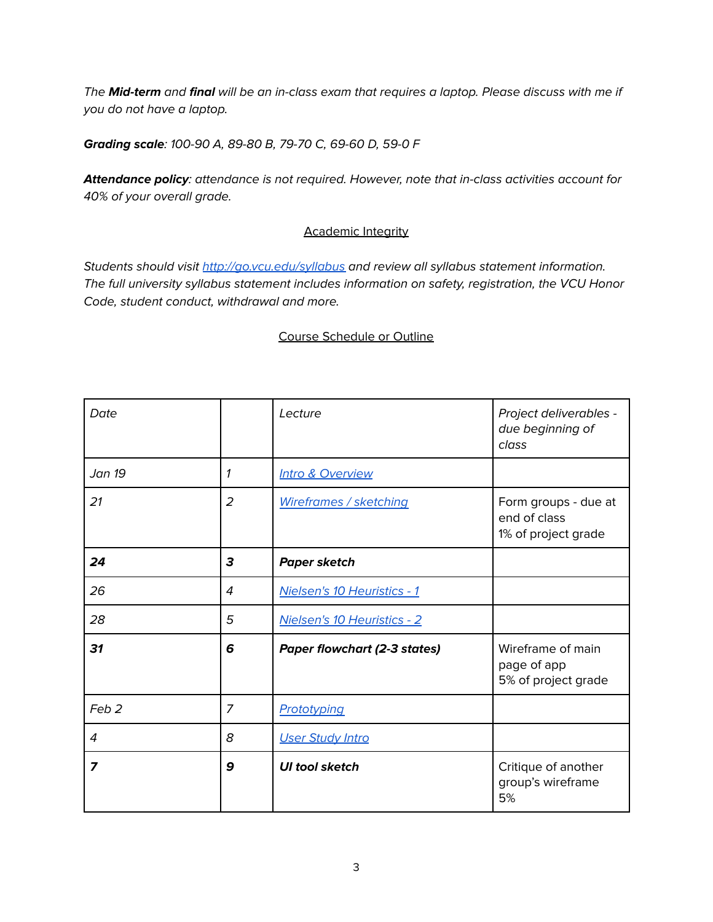The **Mid-term** and **final** will be an in-class exam that requires a laptop. Please discuss with me if you do not have a laptop.

**Grading scale**: 100-90 A, 89-80 B, 79-70 C, 69-60 D, 59-0 F

**Attendance policy**: attendance is not required. However, note that in-class activities account for 40% of your overall grade.

### **Academic Integrity**

Students should visit <http://go.vcu.edu/syllabus> and review all syllabus statement information. The full university syllabus statement includes information on safety, registration, the VCU Honor Code, student conduct, withdrawal and more.

### Course Schedule or Outline

| Date             |                | Lecture                             | Project deliverables -<br>due beginning of<br>class         |
|------------------|----------------|-------------------------------------|-------------------------------------------------------------|
| Jan 19           | 1              | <b>Intro &amp; Overview</b>         |                                                             |
| 21               | $\overline{2}$ | <b>Wireframes / sketching</b>       | Form groups - due at<br>end of class<br>1% of project grade |
| 24               | 3              | <b>Paper sketch</b>                 |                                                             |
| 26               | 4              | Nielsen's 10 Heuristics - 1         |                                                             |
| 28               | 5              | Nielsen's 10 Heuristics - 2         |                                                             |
| 31               | 6              | <b>Paper flowchart (2-3 states)</b> | Wireframe of main<br>page of app<br>5% of project grade     |
| Feb <sub>2</sub> | $\overline{z}$ | Prototyping                         |                                                             |
| 4                | 8              | <b>User Study Intro</b>             |                                                             |
| 7                | 9              | <b>UI tool sketch</b>               | Critique of another<br>group's wireframe<br>5%              |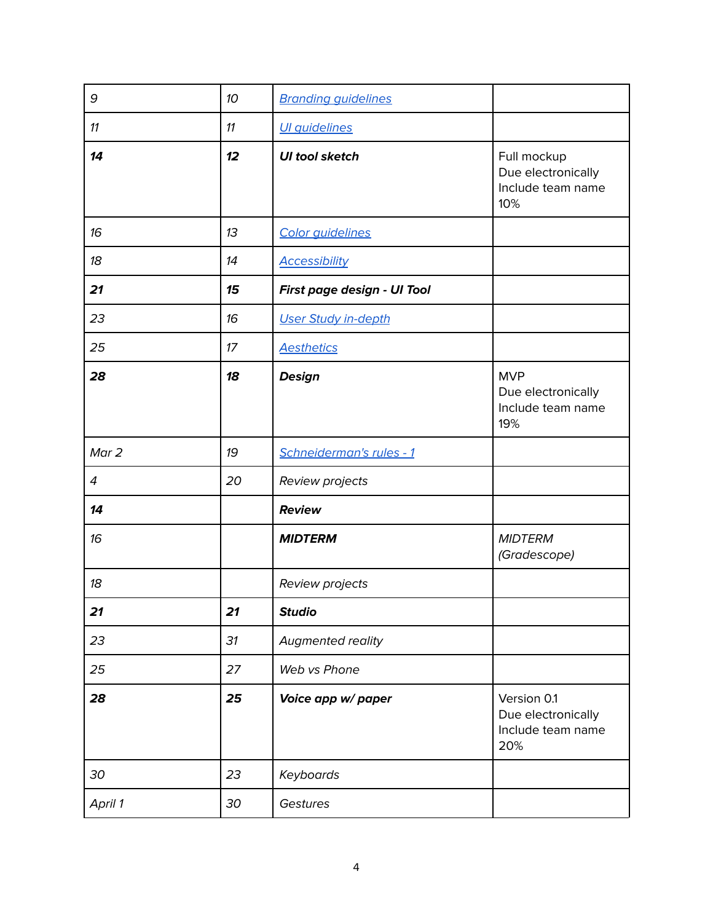| 9              | 10 | <b>Branding guidelines</b>  |                                                               |
|----------------|----|-----------------------------|---------------------------------------------------------------|
| 11             | 11 | <b>UI</b> quidelines        |                                                               |
| 14             | 12 | <b>UI tool sketch</b>       | Full mockup<br>Due electronically<br>Include team name<br>10% |
| 16             | 13 | Color guidelines            |                                                               |
| 18             | 14 | <b>Accessibility</b>        |                                                               |
| 21             | 15 | First page design - UI Tool |                                                               |
| 23             | 16 | <b>User Study in-depth</b>  |                                                               |
| 25             | 17 | <b>Aesthetics</b>           |                                                               |
| 28             | 18 | <b>Design</b>               | <b>MVP</b><br>Due electronically<br>Include team name<br>19%  |
| Mar 2          | 19 | Schneiderman's rules - 1    |                                                               |
| $\overline{4}$ | 20 | Review projects             |                                                               |
| 14             |    | <b>Review</b>               |                                                               |
| 16             |    | <b>MIDTERM</b>              | <b>MIDTERM</b><br>(Gradescope)                                |
| 18             |    | Review projects             |                                                               |
| 21             | 21 | <b>Studio</b>               |                                                               |
| 23             | 31 | Augmented reality           |                                                               |
| 25             | 27 | Web vs Phone                |                                                               |
| 28             | 25 | Voice app w/ paper          | Version 0.1<br>Due electronically<br>Include team name<br>20% |
| 30             | 23 | Keyboards                   |                                                               |
| April 1        | 30 | Gestures                    |                                                               |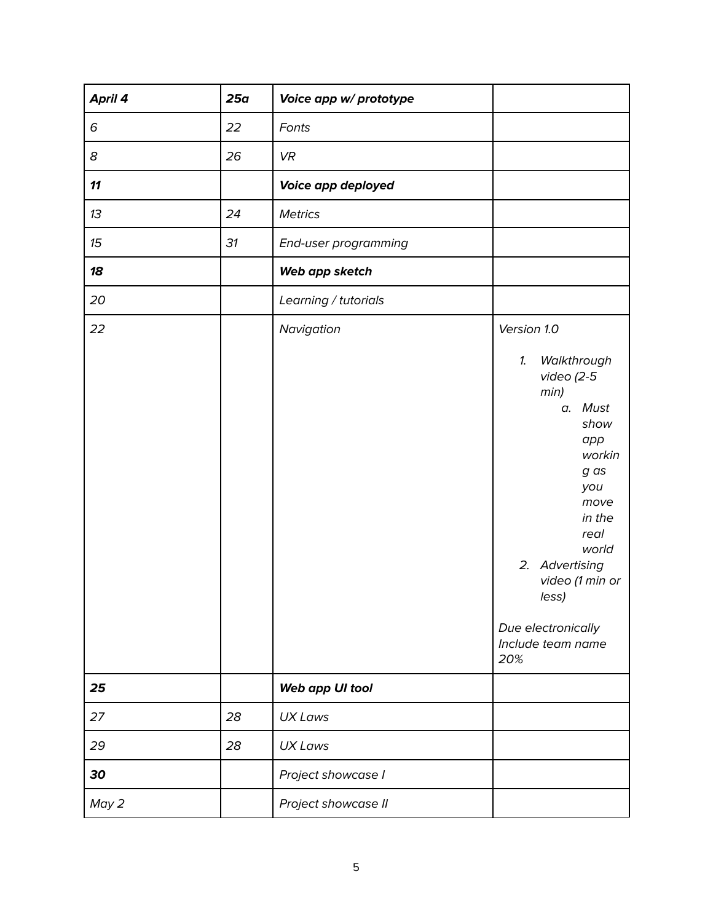| April 4 | 25a | Voice app w/ prototype |                                                                                                                                                                                                                                                 |
|---------|-----|------------------------|-------------------------------------------------------------------------------------------------------------------------------------------------------------------------------------------------------------------------------------------------|
| 6       | 22  | Fonts                  |                                                                                                                                                                                                                                                 |
| 8       | 26  | <b>VR</b>              |                                                                                                                                                                                                                                                 |
| 11      |     | Voice app deployed     |                                                                                                                                                                                                                                                 |
| 13      | 24  | <b>Metrics</b>         |                                                                                                                                                                                                                                                 |
| 15      | 31  | End-user programming   |                                                                                                                                                                                                                                                 |
| 18      |     | Web app sketch         |                                                                                                                                                                                                                                                 |
| 20      |     | Learning / tutorials   |                                                                                                                                                                                                                                                 |
| 22      |     | Navigation             | Version 1.0<br>1.<br>Walkthrough<br>video $(2-5)$<br>min)<br>a. Must<br>show<br>app<br>workin<br>g as<br>you<br>move<br>in the<br>real<br>world<br>2. Advertising<br>video (1 min or<br>less)<br>Due electronically<br>Include team name<br>20% |
| 25      |     | Web app UI tool        |                                                                                                                                                                                                                                                 |
| 27      | 28  | <b>UX Laws</b>         |                                                                                                                                                                                                                                                 |
| 29      | 28  | <b>UX Laws</b>         |                                                                                                                                                                                                                                                 |
| 30      |     | Project showcase I     |                                                                                                                                                                                                                                                 |
| May 2   |     | Project showcase II    |                                                                                                                                                                                                                                                 |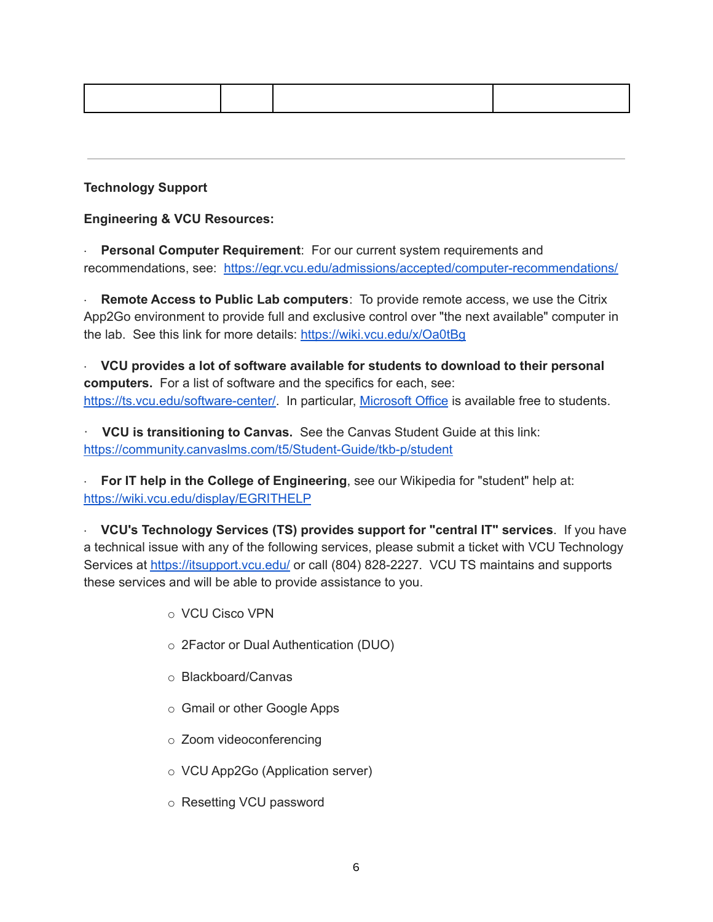### **Technology Support**

**Engineering & VCU Resources:**

· **Personal Computer Requirement**: For our current system requirements and recommendations, see: <https://egr.vcu.edu/admissions/accepted/computer-recommendations/>

· **Remote Access to Public Lab computers**: To provide remote access, we use the Citrix App2Go environment to provide full and exclusive control over "the next available" computer in the lab. See this link for more details: <https://wiki.vcu.edu/x/Oa0tBg>

· **VCU provides a lot of software available for students to download to their personal computers.** For a list of software and the specifics for each, see: [https://ts.vcu.edu/software-center/.](https://ts.vcu.edu/software-center/) In particular, [Microsoft](https://go.vcu.edu/microsoft) Office is available free to students.

· **VCU is transitioning to Canvas.** See the Canvas Student Guide at this link[:](https://community.canvaslms.com/t5/Student-Guide/tkb-p/student) <https://community.canvaslms.com/t5/Student-Guide/tkb-p/student>

· **For IT help in the College of Engineering**, see our Wikipedia for "student" help at[:](https://wiki.vcu.edu/display/EGRITHELP) <https://wiki.vcu.edu/display/EGRITHELP>

· **VCU's Technology Services (TS) provides support for "central IT" services**. If you have a technical issue with any of the following services, please submit a ticket with VCU Technology Services at <https://itsupport.vcu.edu/> or call (804) 828-2227. VCU TS maintains and supports these services and will be able to provide assistance to you.

- o VCU Cisco VPN
- o 2Factor or Dual Authentication (DUO)
- o Blackboard/Canvas
- o Gmail or other Google Apps
- o Zoom videoconferencing
- o VCU App2Go (Application server)
- o Resetting VCU password